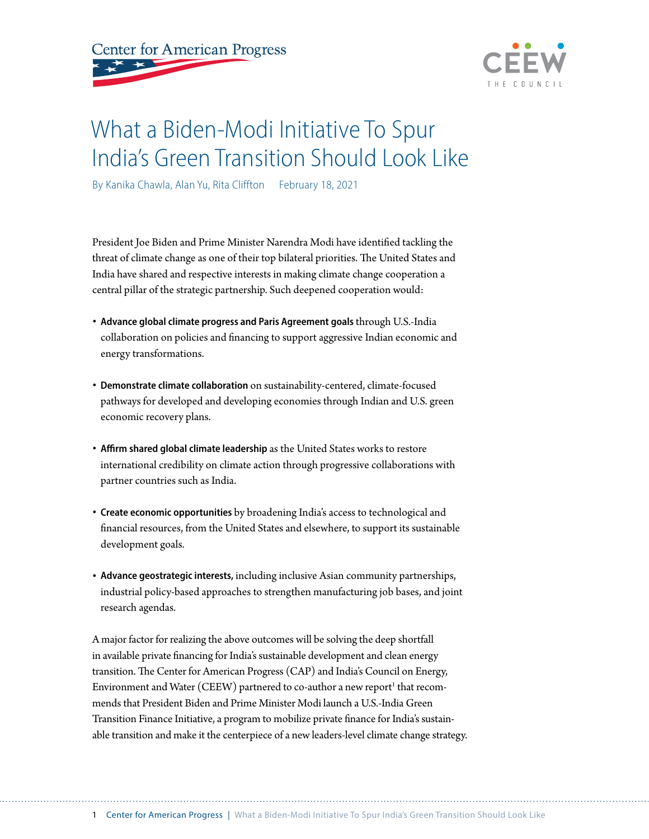



## What a Biden-Modi Initiative To Spur India's Green Transition Should Look Like

By Kanika Chawla, Alan Yu, Rita Cliffton February 18, 2021

President Joe Biden and Prime Minister Narendra Modi have identified tackling the threat of climate change as one of their top bilateral priorities. The United States and India have shared and respective interests in making climate change cooperation a central pillar of the strategic partnership. Such deepened cooperation would:

- **Advance global climate progress and Paris Agreement goals** through U.S.-India collaboration on policies and financing to support aggressive Indian economic and energy transformations.
- **Demonstrate climate collaboration** on sustainability-centered, climate-focused pathways for developed and developing economies through Indian and U.S. green economic recovery plans.
- **Affirm shared global climate leadership** as the United States works to restore international credibility on climate action through progressive collaborations with partner countries such as India.
- **Create economic opportunities** by broadening India's access to technological and financial resources, from the United States and elsewhere, to support its sustainable development goals.
- **Advance geostrategic interests,** including inclusive Asian community partnerships, industrial policy-based approaches to strengthen manufacturing job bases, and joint research agendas.

A major factor for realizing the above outcomes will be solving the deep shortfall in available private financing for India's sustainable development and clean energy transition. The Center for American Progress (CAP) and India's Council on Energy, Environment and Water (CEEW) partnered to co-author a new report $^{\rm t}$  that recommends that President Biden and Prime Minister Modi launch a U.S.-India Green Transition Finance Initiative, a program to mobilize private finance for India's sustainable transition and make it the centerpiece of a new leaders-level climate change strategy.